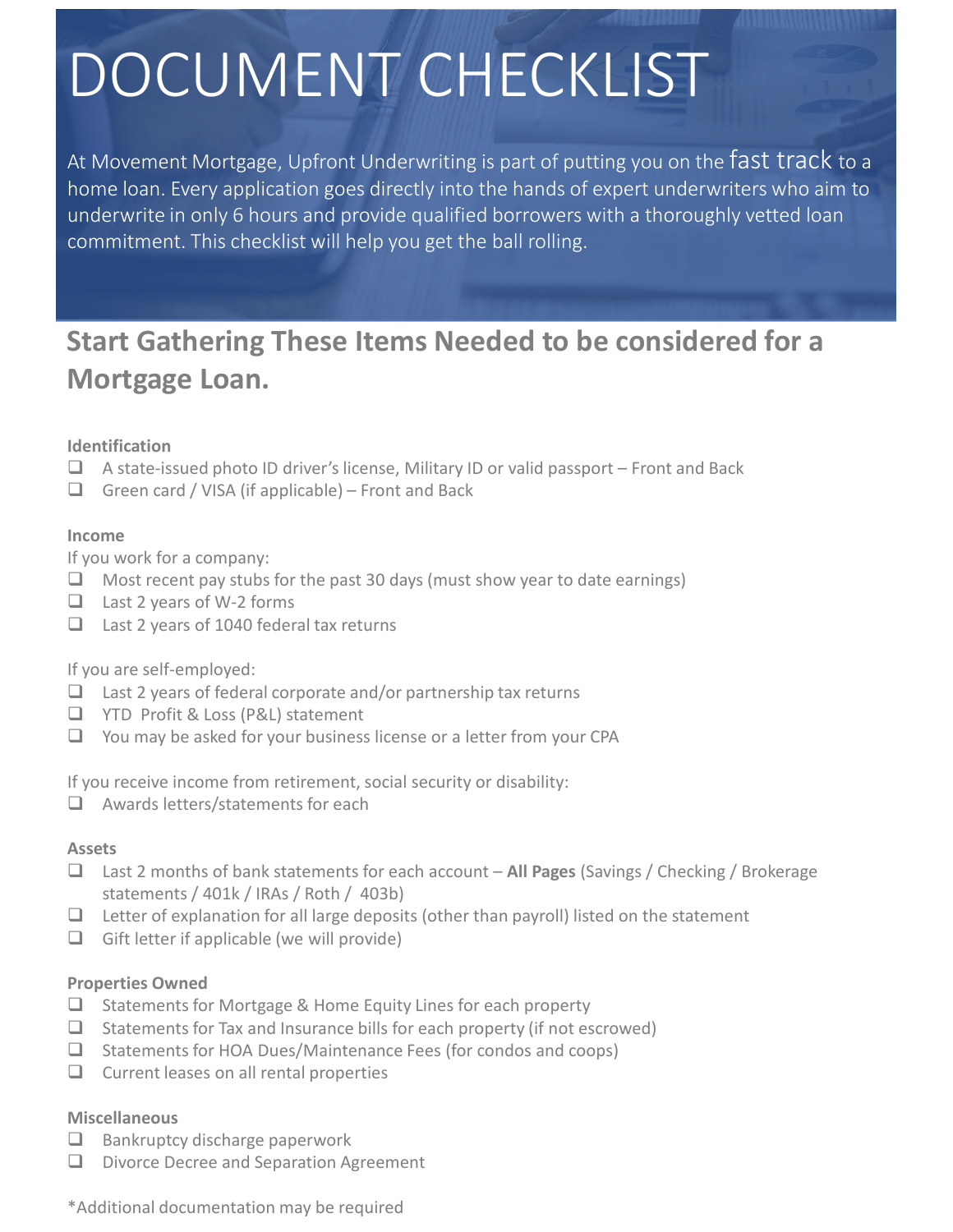# DOCUMENT CHECKLIST

At Movement Mortgage, Upfront Underwriting is part of putting you on the fast track to a home loan. Every application goes directly into the hands of expert underwriters who aim to underwrite in only 6 hours and provide qualified borrowers with a thoroughly vetted loan commitment. This checklist will help you get the ball rolling.

## **Start Gathering These Items Needed to be considered for a Mortgage Loan.**

#### **Identification**

- $\Box$  A state-issued photo ID driver's license, Military ID or valid passport Front and Back
- Green card / VISA (if applicable) Front and Back

#### **Income**

If you work for a company:

- $\Box$  Most recent pay stubs for the past 30 days (must show year to date earnings)
- $\Box$  Last 2 years of W-2 forms
- $\Box$  Last 2 years of 1040 federal tax returns

If you are self-employed:

- $\Box$  Last 2 years of federal corporate and/or partnership tax returns
- □ YTD Profit & Loss (P&L) statement
- $\Box$  You may be asked for your business license or a letter from your CPA

If you receive income from retirement, social security or disability:

 $\Box$  Awards letters/statements for each

#### **Assets**

- Last 2 months of bank statements for each account **All Pages** (Savings / Checking / Brokerage statements / 401k / IRAs / Roth / 403b)
- $\Box$  Letter of explanation for all large deposits (other than payroll) listed on the statement
- Gift letter if applicable (we will provide)

#### **Properties Owned**

- $\Box$  Statements for Mortgage & Home Equity Lines for each property
- $\Box$  Statements for Tax and Insurance bills for each property (if not escrowed)
- $\Box$  Statements for HOA Dues/Maintenance Fees (for condos and coops)
- $\Box$  Current leases on all rental properties

#### **Miscellaneous**

- $\Box$  Bankruptcy discharge paperwork
- D Divorce Decree and Separation Agreement

\*Additional documentation may be required